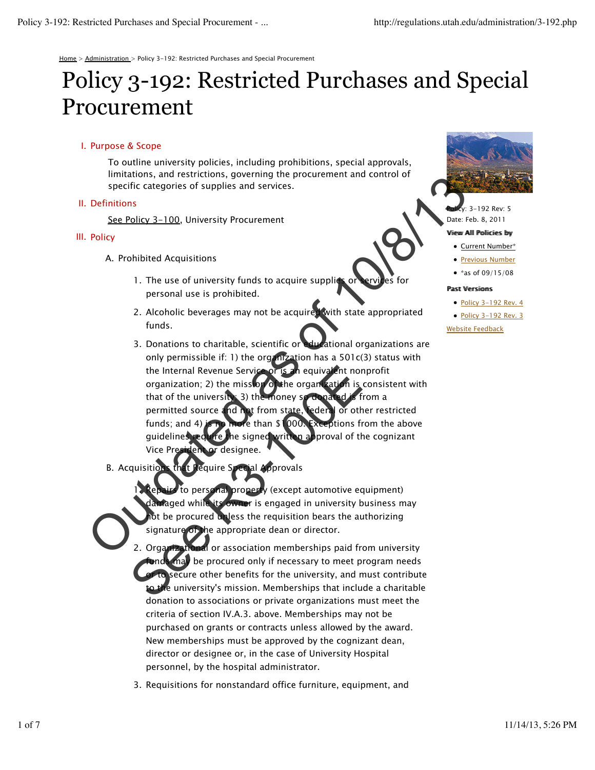Home > Administration > Policy 3-192: Restricted Purchases and Special Procurement

# Policy 3-192: Restricted Purchases and Special Procurement

## I. Purpose & Scope

To outline university policies, including prohibitions, special approvals, limitations, and restrictions, governing the procurement and control of specific categories of supplies and services.

### II. Definitions

See Policy 3-100, University Procurement

# III. Policy

- A. Prohibited Acquisitions
	- 1. The use of university funds to acquire supplies or services for personal use is prohibited.
	- 2. Alcoholic beverages may not be acquired with state appropriated funds.
- 3. Donations to charitable, scientific or educational organizations are only permissible if: 1) the organization has a  $501c(3)$  status with the Internal Revenue Service or is an equivalent nonprofit organization; 2) the mission of the organization is consistent with that of the university; 3) the money so donated is from a permitted source and not from state, federal or other restricted funds; and 4) is no more than \$1000. Exceptions from the above guidelines require the signed written approval of the cognizant Vice President or designee. specific categories of supplies and services.<br>
Definitions<br>
See Policy 3-100, University frocurement<br>
Policy<br>
A. Prohibited Acquisitions<br>
1. The use of university funds to acquire supplies<br>
The set of the term of the cont The Internal Revenue Service or is an equivalent not<br>organization; 2) the mission of the organization is<br>that of the university. 3) the money solution of the<br>permitted source and not from state, reders for other<br>tunds; and
	- **Acquire Special Approvals B.** Acquisitio

personal property (except automotive equipment) owner is engaged in university business may be procured unless the requisition bears the authorizing signature of the appropriate dean or director. 1.

- $\delta$  or association memberships paid from university may be procured only if necessary to meet program needs secure other benefits for the university, and must contribute to the university's mission. Memberships that include a charitable donation to associations or private organizations must meet the criteria of section IV.A.3. above. Memberships may not be purchased on grants or contracts unless allowed by the award. New memberships must be approved by the cognizant dean, director or designee or, in the case of University Hospital personnel, by the hospital administrator. 2. Organizat
- 3. Requisitions for nonstandard office furniture, equipment, and



 $v: 3 - 192$  Rev: 5 Date: Feb. 8, 2011

#### Viiew Alll Polliciies by

- Current Number\*
- **Previous Number**
- \*as of  $09/15/08$

#### Pastt Versiioms

- $\bullet$  Policy 3-192 Rev. 4
- Policy 3-192 Rev. 3

Website Feedback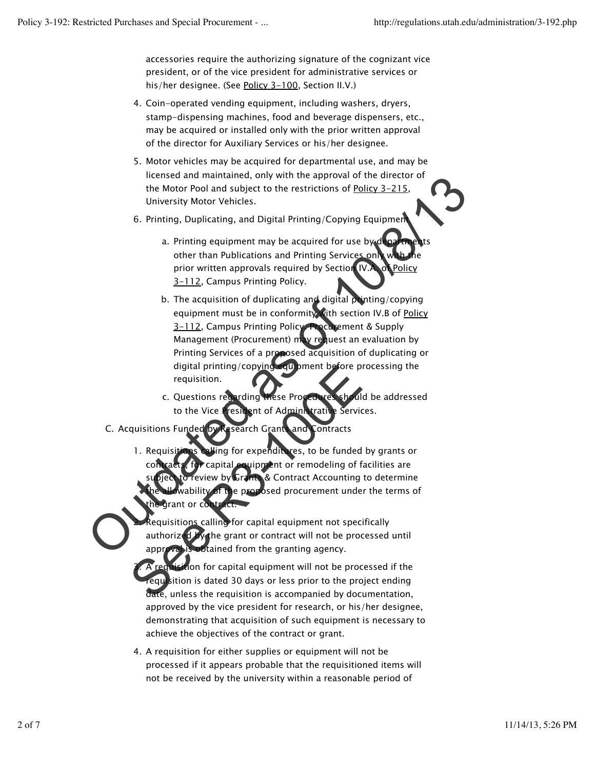3.

accessories require the authorizing signature of the cognizant vice president, or of the vice president for administrative services or his/her designee. (See Policy 3-100, Section II.V.)

- Coin-operated vending equipment, including washers, dryers, 4. stamp-dispensing machines, food and beverage dispensers, etc., may be acquired or installed only with the prior written approval of the director for Auxiliary Services or his/her designee.
- Motor vehicles may be acquired for departmental use, and may be 5. licensed and maintained, only with the approval of the director of the Motor Pool and subject to the restrictions of Policy 3-215, University Motor Vehicles.
- 6. Printing, Duplicating, and Digital Printing/Copying Equipment
	- a. Printing equipment may be acquired for use by departments other than Publications and Printing Services only prior written approvals required by Section IV.A. of Policy 3-112, Campus Printing Policy.
- b. The acquisition of duplicating and digital printing/copying equipment must be in conformity with section IV.B of Policy 3-112, Campus Printing Policy. Procurement & Supply Management (Procurement) may request an evaluation by Printing Services of a proposed acquisition of duplicating or digital printing/copying equipment before processing the requisition. The area and manufactor of the approval of the director of the director of the director of the director of the control of the control of the control of the control of the control of the control of the control of the contro
	- c. Questions regarding these Procedures should be addressed to the Vice President of Administrative Services.
	- C. Acquisitions Funded by Research Grants and Contracts
- Hing for expenditures, to be funded by grants or wipment or remodeling of facilities are  $\mathcal S$  Contract Accounting to determine e proposed procurement under the terms of rant or col 1. Reguisi**ti** digital printing/copying equipment before p<br>requisition.<br>C. Questions regarding these Procedures shoul<br>to the Vice Testlent of Administratic Service<br>quisitions Funded by Research Grant and contracts<br>1. Requisitions alling

equisitions calling for capital equipment not specifically authorized by the grant or contract will not be processed until **p**btained from the granting agency. 2.

A requisition for capital equipment will not be processed if the requisition is dated 30 days or less prior to the project ending date, unless the requisition is accompanied by documentation, approved by the vice president for research, or his/her designee, demonstrating that acquisition of such equipment is necessary to achieve the objectives of the contract or grant.

A requisition for either supplies or equipment will not be 4. processed if it appears probable that the requisitioned items will not be received by the university within a reasonable period of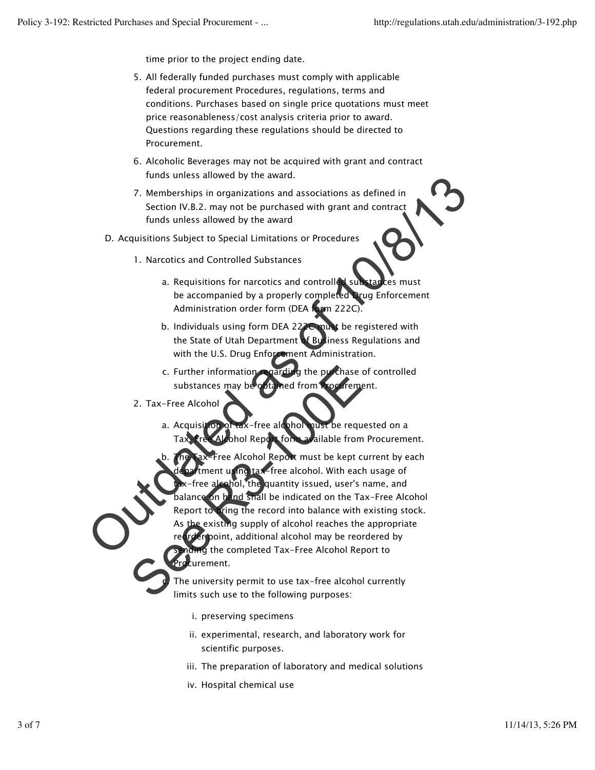time prior to the project ending date.

- All federally funded purchases must comply with applicable 5. federal procurement Procedures, regulations, terms and conditions. Purchases based on single price quotations must meet price reasonableness/cost analysis criteria prior to award. Questions regarding these regulations should be directed to Procurement.
- 6. Alcoholic Beverages may not be acquired with grant and contract funds unless allowed by the award.
- Memberships in organizations and associations as defined in 7. Section IV.B.2. may not be purchased with grant and contract funds unless allowed by the award
- D. Acquisitions Subject to Special Limitations or Procedures
	- 1. Narcotics and Controlled Substances
		- a. Requisitions for narcotics and controlled substances must be accompanied by a properly completed Drug Enforcement Administration order form (DEA form 222C).
		- b. Individuals using form DEA 222C must be registered with the State of Utah Department of Business Regulations and with the U.S. Drug Enforcement Administration.
		- arding the purchase of controlled substances may be obtained from Procurement. c. Further information
	- 2. Tax-Free Alcohol

c.

ion of tax-free alcohol must be requested on a form available from Procurement. a.

ee Alcohol Report must be kept current by each using tax-free alcohol. With each usage of hol, the quantity issued, user's name, and Ind shall be indicated on the Tax-Free Alcohol ring the record into balance with existing stock. the existing supply of alcohol reaches the appropriate point, additional alcohol may be reordered by g the completed Tax-Free Alcohol Report to turement. b. The Summarian of the Maria Control of the Marine Street and Control of the State of Utraching the record into the State of Utraching Subject to Special Limitations or Procedures<br>
1. Narcotics and Controlled Substances<br>
2. C. Further information coarding the purchase<br>substances may be oftened from Foorneme<br>2. Tax-Free Alcohol<br>a. Acquisition of tax-free alcohol Tust be requested<br>from a altable from<br>the pax-free Alcohol Report must be kept com

The university permit to use tax-free alcohol currently limits such use to the following purposes:

- i. preserving specimens
- ii. experimental, research, and laboratory work for scientific purposes.
- iii. The preparation of laboratory and medical solutions
- iv. Hospital chemical use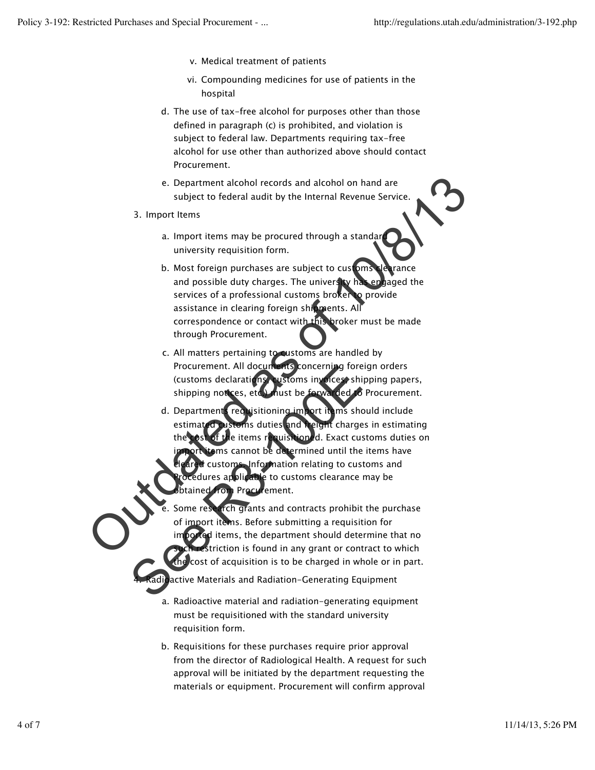- v. Medical treatment of patients
- vi. Compounding medicines for use of patients in the hospital
- The use of tax-free alcohol for purposes other than those d. defined in paragraph (c) is prohibited, and violation is subject to federal law. Departments requiring tax-free alcohol for use other than authorized above should contact Procurement.
- Department alcohol records and alcohol on hand are e. subject to federal audit by the Internal Revenue Service.
- 3. Import Items

4.

- a. Import items may be procured through a standard university requisition form.
- b. Most foreign purchases are subject to customs clearance and possible duty charges. The university has engaged the services of a professional customs broker to provide assistance in clearing foreign shipments. All correspondence or contact with this broker must be made through Procurement.
- c. All matters pertaining to customs are handled by Procurement. All documents concerning foreign orders (customs declarations, customs invoices, shipping papers, shipping notices, etc.) must be forwarded to Procurement.
- requisitioning import items should include estimated customs duties and freight charges in estimating uisitioned. Exact customs duties on  $ems$  cannot be determined until the items have Information relating to customs and res applicable to customs clearance may be Procurement. d. Department e. Department alcohol records and alcohol on hand are<br>subject to federal audit by the internal Revenue Service.<br>3. Import Items may be procured through a standar<br>university requisition form.<br>b. Most foreign purchases are s Procurement. All documents concerning fore<br>
(customs declarations) ustoms involces shi<br>
shipping notices, etc. Thust be forwarded<br>
d. Department requisitioning imsort it ims she<br>
estimated as estimated in the state of the
	- Some research grants and contracts prohibit the purchase import items. Before submitting a requisition for imported items, the department should determine that no  $s$ triction is found in any grant or contract to which cost of acquisition is to be charged in whole or in part. e.
	- active Materials and Radiation-Generating Equipment
		- a. Radioactive material and radiation-generating equipment must be requisitioned with the standard university requisition form.
		- b. Requisitions for these purchases require prior approval from the director of Radiological Health. A request for such approval will be initiated by the department requesting the materials or equipment. Procurement will confirm approval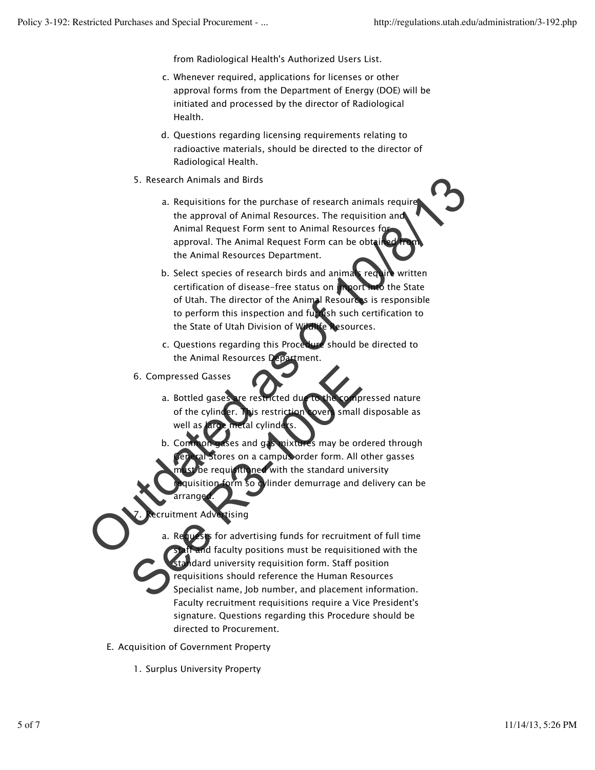from Radiological Health's Authorized Users List.

- Whenever required, applications for licenses or other c. approval forms from the Department of Energy (DOE) will be initiated and processed by the director of Radiological Health.
- d. Questions regarding licensing requirements relating to radioactive materials, should be directed to the director of Radiological Health.
- 5. Research Animals and Birds
- a. Requisitions for the purchase of research animals require the approval of Animal Resources. The requisition and Animal Request Form sent to Animal Resources for approval. The Animal Request Form can be obtain the Animal Resources Department. S. Research Animals and Birds<br>
a. Requisitions for the purchase of research animals required<br>
the approval of Animal Resources. The requisition and<br>
Animal Request Form sent to Animal Resources for<br>
approval. The Animal Re
	- b. Select species of research birds and animals require written certification of disease-free status on import into the State of Utah. The director of the Animal Resources is responsible to perform this inspection and furnish such certification to the State of Utah Division of Wildlife Resources.
	- c. Questions regarding this Procedure should be directed to the Animal Resources Department.
	- 6. Compressed Gasses
		- a. Bottled gases are restricted due to the compressed nature of the cylinder. This restriction covers small disposable as well as  $\text{large}$  metal cylinders.
		- and gas mixtures may be ordered through ores on a campus order form. All other gasses oe requisitioned with the standard university b. Com
		- form so cylinder demurrage and delivery can be arranged.

#### ecruitment Advertising 7.

- **If** for advertising funds for recruitment of full time id faculty positions must be requisitioned with the  $d$ dard university requisition form. Staff position requisitions should reference the Human Resources Specialist name, Job number, and placement information. Faculty recruitment requisitions require a Vice President's signature. Questions regarding this Procedure should be directed to Procurement. a. 6. Compressed Gasses<br>
a. Bottled gases are restricted during to the comp<br>
of the cylinder. This restriction overy small<br>
well as an ametal cylinder s.<br>
b. Comparisons and gas mixtures may be order<br>
for all stores on a camp
- E. Acquisition of Government Property
	- 1. Surplus University Property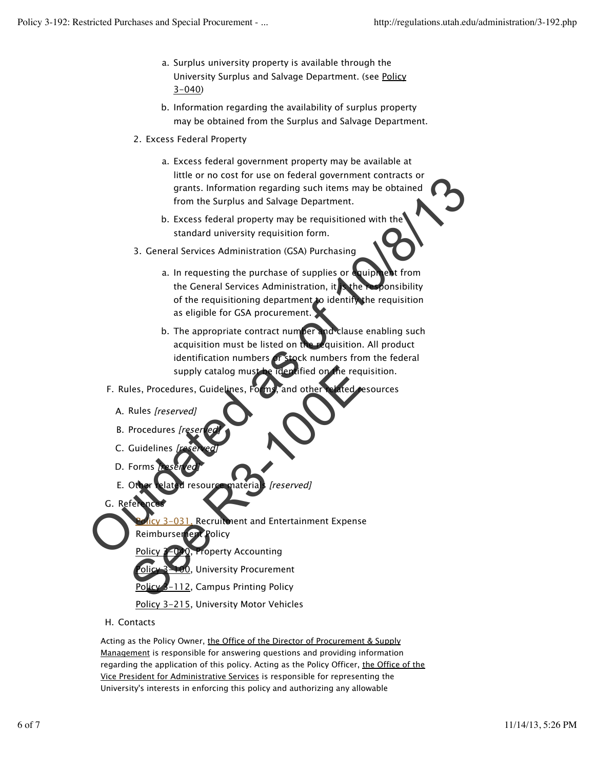- a. Surplus university property is available through the University Surplus and Salvage Department. (see Policy 3-040)
- b. Information regarding the availability of surplus property may be obtained from the Surplus and Salvage Department.
- 2. Excess Federal Property
	- a. Excess federal government property may be available at little or no cost for use on federal government contracts or grants. Information regarding such items may be obtained from the Surplus and Salvage Department.
	- b. Excess federal property may be requisitioned with the standard university requisition form.
- 3. General Services Administration (GSA) Purchasing
	- a. In requesting the purchase of supplies or equipment from the General Services Administration, it is the responsibility of the requisitioning department to identify the requisition as eligible for GSA procurement.
- b. The appropriate contract number and clause enabling such acquisition must be listed on the requisition. All product identification numbers or stock numbers from the federal supply catalog must be identified on the requisition. Finde or no cost for use on teneral government contracts of<br>grants. Information regarding such items may be obtained<br>from the Surplus and Salvage Department.<br>
b. Excess federal property may be requisitioned with the<br>standa
	- F. Rules, Procedures, Guidelines, Forms, and other related resources
		- A. Rules [reserved]
		- B. Procedures [re
		- C. Guidelines
		- D. Forms
		- E. Other related resource materials [reserved]
	- G. References

031, Recruitment and Entertainment Expense supply catalog must be identified on the req<br>
les, Procedures, Guidelines, Form, and other related<br>
Rules [reserved]<br>
Cuidelines [reserved]<br>
Cuidelines [reserved]<br>
Forms Mase ed]<br>
Cuidelines [reserved]<br>
Forms Mase ed]<br>
Cui

- Reimbursement Policy
	- operty Accounting

**University Procurement** 

-112, Campus Printing Policy

Policy 3-215, University Motor Vehicles

H. Contacts

Acting as the Policy Owner, the Office of the Director of Procurement & Supply Management is responsible for answering questions and providing information regarding the application of this policy. Acting as the Policy Officer, the Office of the Vice President for Administrative Services is responsible for representing the University's interests in enforcing this policy and authorizing any allowable